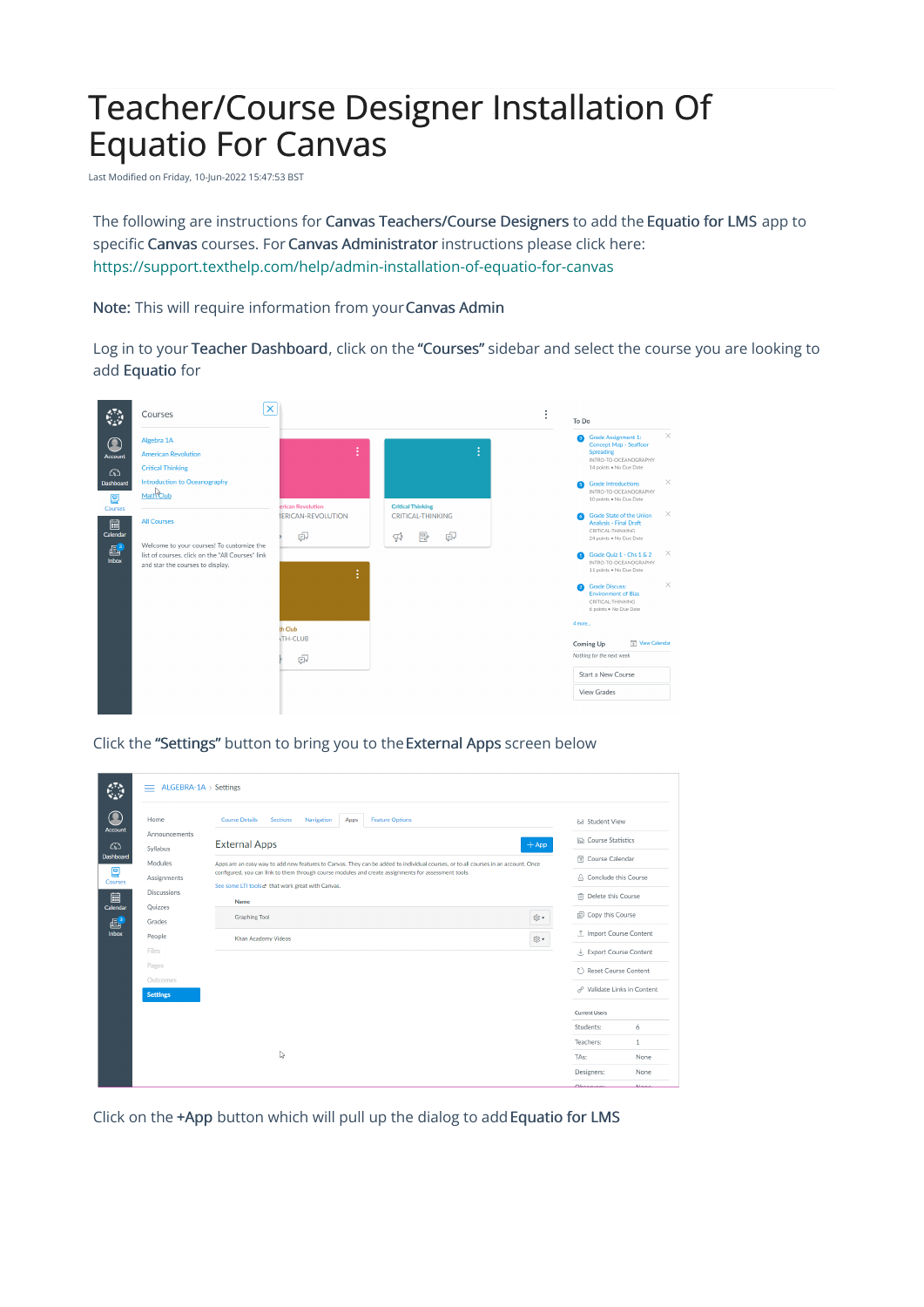## Teacher/Course Designer Installation Of Equatio For Canvas

Last Modified on Friday, 10-Jun-2022 15:47:53 BST

The following are instructions for Canvas Teachers/Course Designers to add the Equatio for LMS app to specific Canvas courses. For Canvas Administrator instructions please click here: <https://support.texthelp.com/help/admin-installation-of-equatio-for-canvas>

Note: This will require information from your Canvas Admin

Log in to your Teacher Dashboard, click on the "Courses" sidebar and select the course you are looking to add Equatio for



Click the "Settings" button to bring you to theExternal Apps screen below

| Home                                 | <b>Course Details</b><br><b>Sections</b><br><b>Feature Options</b><br>Navigation<br>Apps                                           |                    | 62 Student View             |              |
|--------------------------------------|------------------------------------------------------------------------------------------------------------------------------------|--------------------|-----------------------------|--------------|
| Account<br>Announcements<br>Syllabus | <b>External Apps</b>                                                                                                               | $+$ App            | <b>In Course Statistics</b> |              |
| Dashboard<br>Modules                 | Apps are an easy way to add new features to Canvas. They can be added to individual courses, or to all courses in an account. Once | जि Course Calendar |                             |              |
| Assignments<br><b>Courses</b>        | configured, you can link to them through course modules and create assignments for assessment tools.                               |                    | A Conclude this Course      |              |
| Discussions                          | See some LTI tools at that work great with Canvas.                                                                                 |                    | m Delete this Course        |              |
| Quizzes<br>Calendar                  | <b>Name</b><br><b>Graphing Tool</b>                                                                                                | © ▼                | 同 Copy this Course          |              |
| Grades                               |                                                                                                                                    |                    | ① Import Course Content     |              |
| People                               | <b>Khan Academy Videos</b>                                                                                                         | ©়∙                |                             |              |
| Files                                |                                                                                                                                    |                    | ↓ Export Course Content     |              |
| Pages                                |                                                                                                                                    |                    | ( ) Reset Course Content    |              |
| Outcomes<br><b>Settings</b>          |                                                                                                                                    |                    | & Validate Links in Content |              |
|                                      |                                                                                                                                    |                    | <b>Current Users</b>        |              |
|                                      |                                                                                                                                    |                    | Students:                   | 6            |
|                                      |                                                                                                                                    |                    | Teachers:                   | $\mathbf{1}$ |
|                                      | い                                                                                                                                  |                    | TA <sub>s</sub> :           | None         |
|                                      |                                                                                                                                    |                    | Designers:                  | None         |
|                                      |                                                                                                                                    |                    | Ohnonuon                    | <b>Manu</b>  |

Click on the +App button which will pull up the dialog to add Equatio for LMS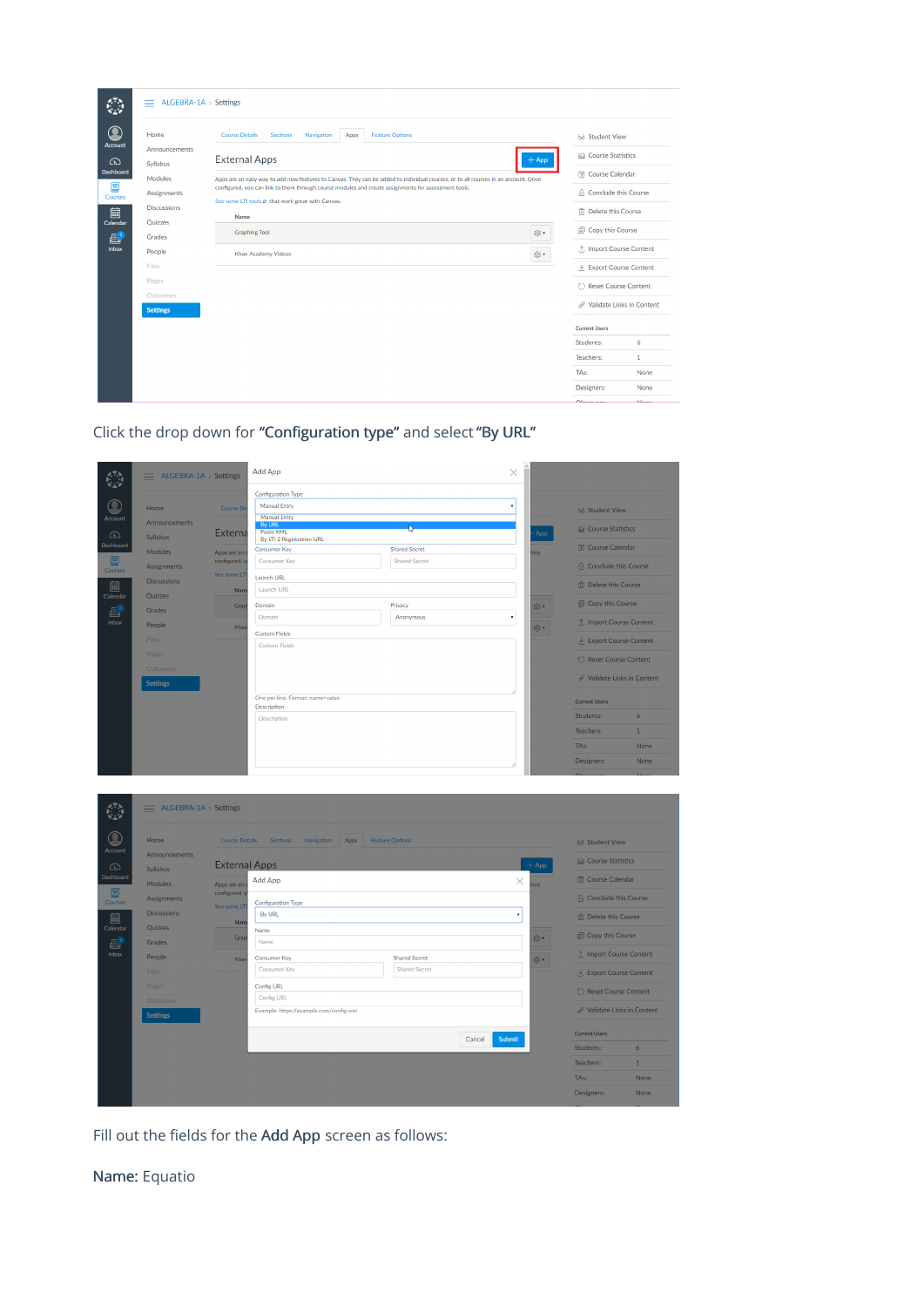| Announcements<br><b>External Apps</b><br>– App<br>Syllabus<br>Modules<br>Apps are an easy way to add new features to Canvas. They can be added to individual courses, or to all courses in an account. Once<br>configured, you can link to them through course modules and create assignments for assessment tools.<br>Assignments<br>See some LTI tools at that work great with Canvas.<br>Discussions<br>Name<br>Quizzes<br>@▼<br><b>Graphing Tool</b><br>Grades<br>People<br>® ▼<br>Khan Academy Videos<br>Files<br>↓ Export Course Content<br>Pages<br>( ) Reset Course Content<br>Outcomes<br><b>Settings</b><br><b>Current Users</b><br>Students:<br>Teachers:<br>TAs: | Home | <b>Course Details</b><br><b>Sections</b><br><b>Feature Options</b><br>Navigation<br>Apps |  | 6d Student View                        |      |
|------------------------------------------------------------------------------------------------------------------------------------------------------------------------------------------------------------------------------------------------------------------------------------------------------------------------------------------------------------------------------------------------------------------------------------------------------------------------------------------------------------------------------------------------------------------------------------------------------------------------------------------------------------------------------|------|------------------------------------------------------------------------------------------|--|----------------------------------------|------|
|                                                                                                                                                                                                                                                                                                                                                                                                                                                                                                                                                                                                                                                                              |      |                                                                                          |  | lin Course Statistics                  |      |
|                                                                                                                                                                                                                                                                                                                                                                                                                                                                                                                                                                                                                                                                              |      |                                                                                          |  | <b>司</b> Course Calendar               |      |
|                                                                                                                                                                                                                                                                                                                                                                                                                                                                                                                                                                                                                                                                              |      |                                                                                          |  | A Conclude this Course                 |      |
|                                                                                                                                                                                                                                                                                                                                                                                                                                                                                                                                                                                                                                                                              |      |                                                                                          |  | <b>fili</b> Delete this Course         |      |
|                                                                                                                                                                                                                                                                                                                                                                                                                                                                                                                                                                                                                                                                              |      |                                                                                          |  | <b><i><u></u></i></b> Copy this Course |      |
|                                                                                                                                                                                                                                                                                                                                                                                                                                                                                                                                                                                                                                                                              |      |                                                                                          |  | ① Import Course Content                |      |
|                                                                                                                                                                                                                                                                                                                                                                                                                                                                                                                                                                                                                                                                              |      |                                                                                          |  |                                        |      |
|                                                                                                                                                                                                                                                                                                                                                                                                                                                                                                                                                                                                                                                                              |      |                                                                                          |  |                                        |      |
|                                                                                                                                                                                                                                                                                                                                                                                                                                                                                                                                                                                                                                                                              |      |                                                                                          |  |                                        |      |
|                                                                                                                                                                                                                                                                                                                                                                                                                                                                                                                                                                                                                                                                              |      |                                                                                          |  | Validate Links in Content              |      |
|                                                                                                                                                                                                                                                                                                                                                                                                                                                                                                                                                                                                                                                                              |      |                                                                                          |  |                                        |      |
|                                                                                                                                                                                                                                                                                                                                                                                                                                                                                                                                                                                                                                                                              |      |                                                                                          |  |                                        | 6    |
|                                                                                                                                                                                                                                                                                                                                                                                                                                                                                                                                                                                                                                                                              |      |                                                                                          |  |                                        | 1    |
|                                                                                                                                                                                                                                                                                                                                                                                                                                                                                                                                                                                                                                                                              |      |                                                                                          |  |                                        | None |
| Designers:                                                                                                                                                                                                                                                                                                                                                                                                                                                                                                                                                                                                                                                                   |      |                                                                                          |  |                                        | None |



|              | $=$ ALGEBRA-1A > Settings  |                              | Add App                                    |                        | $\times$           |         |                                         |                |
|--------------|----------------------------|------------------------------|--------------------------------------------|------------------------|--------------------|---------|-----------------------------------------|----------------|
|              |                            |                              | Configuration Type                         |                        |                    |         |                                         |                |
|              |                            |                              | Manual Entry                               |                        |                    |         |                                         |                |
| Account      | Home                       | Course De                    | <b>Manual Entry</b>                        |                        |                    |         | 63 Student View                         |                |
| ෬            | Announcements<br>Syllabus  | <b>Externa</b>               | <b>By URL</b><br>Paste XML                 | P,                     |                    | App     | <b>LED</b> Course Statistics            |                |
| Dashboard    |                            |                              | By LTI 2 Registration URL<br>Consumer Key  | Shared Secret          |                    |         | <b>司 Course Calendar</b>                |                |
| 凰            | Modules                    | Apps are an<br>configured, y | Consumer Key                               | Shared Secret          |                    | nce     |                                         |                |
| Courses      | Assignments                | See some LT                  |                                            |                        |                    |         | <b>A</b> Conclude this Course           |                |
| 匾            | <b>Discussions</b>         | Nam                          | Launch URL<br>Launch URL                   |                        |                    |         | m Delete this Course                    |                |
| Calendar     | Quizzes                    | Grap                         | Domain                                     | Privacy                |                    | 83、     | 同 Copy this Course                      |                |
| 倡            | Grades                     |                              | Domain                                     | Anonymous              | $\bar{\mathrm{v}}$ |         |                                         |                |
| Inbox        | People                     | Khar                         |                                            |                        |                    | 83、     | ① Import Course Content                 |                |
|              | Files                      |                              | Custom Fields                              |                        |                    |         | ↓ Export Course Content                 |                |
|              | Pages                      |                              | Custom Fields                              |                        |                    |         | Reset Course Content                    |                |
|              | Outcomes                   |                              |                                            |                        |                    |         |                                         |                |
|              | <b>Settings</b>            |                              |                                            |                        |                    |         | √ Validate Links in Content             |                |
|              |                            |                              | One per line. Format: name=value           |                        |                    |         | <b>Current Users</b>                    |                |
|              |                            |                              | Description                                |                        |                    |         |                                         |                |
|              |                            |                              | Description                                |                        |                    |         | Students:                               | $\ddot{\circ}$ |
|              |                            |                              |                                            |                        |                    |         | Teachers:                               | $1\,$          |
|              |                            |                              |                                            |                        |                    |         | TAs:                                    | None           |
|              |                            |                              |                                            |                        |                    |         | Designers:                              | None           |
|              | ALGEBRA-1A > Settings<br>≡ |                              |                                            |                        |                    |         |                                         |                |
| Ω            | Home                       |                              | Course Details Sections<br>Navigation Apps | <b>Feature Options</b> |                    |         | 63 Student View                         |                |
| Account<br>෬ | Announcements<br>Syllabus  | <b>External Apps</b>         |                                            |                        |                    | $+$ App | <b>In Course Statistics</b>             |                |
| Dashboard    | Modules                    | Apps are an                  | Add App                                    |                        | ×                  | ice     | <b>司 Course Calendar</b>                |                |
| 囯            | Assignments                | configured, y                |                                            |                        |                    |         | <b>A</b> Conclude this Course           |                |
| Courses      | <b>Discussions</b>         | See some LT                  | Configuration Type<br>By URL               |                        |                    |         |                                         |                |
| 臝            |                            | Nam                          |                                            |                        | ۰                  |         | 而 Delete this Course                    |                |
| Calendar     | Quizzes<br>Grades          | Grap                         | Name<br>Name                               |                        |                    | @ •     | <b><i>a</i></b> Copy this Course        |                |
| 昼<br>Inbox   | People                     | Khar                         | Consumer Key                               | Shared Secret          |                    | @ •     | 1 Import Course Content                 |                |
|              | <b>Files</b>               |                              | Consumer Key                               | Shared Secret          |                    |         | Export Course Content                   |                |
|              | Pages                      |                              | Config URL                                 |                        |                    |         | C Reset Course Content                  |                |
|              | Outcomes                   |                              | Config URL                                 |                        |                    |         |                                         |                |
|              | <b>Settings</b>            |                              | Example: https://example.com/config.xml    |                        |                    |         | $\mathcal{O}$ Validate Links in Content |                |
|              |                            |                              |                                            |                        | Submit<br>Cancel   |         | <b>Current Users</b>                    |                |
|              |                            |                              |                                            |                        |                    |         | Students:                               | 6              |
|              |                            |                              |                                            |                        |                    |         | Teachers:                               | $\mathbf{1}$   |
|              |                            |                              |                                            |                        |                    |         | TAs:                                    | None           |
|              |                            |                              |                                            |                        |                    |         | Designers:                              | None           |
|              |                            |                              |                                            |                        |                    |         |                                         |                |

Fill out the fields for the Add App screen as follows:

Name: Equatio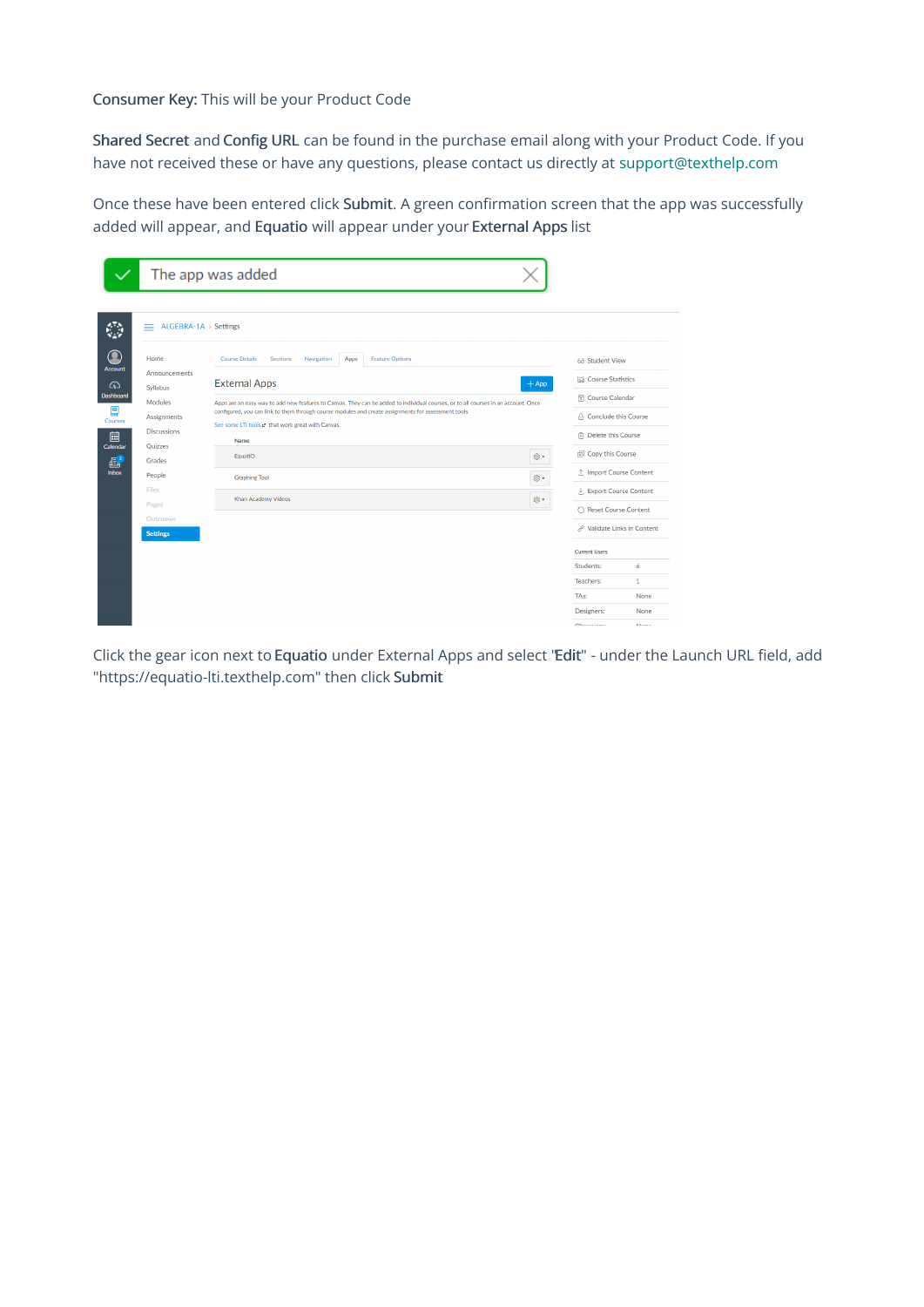## Consumer Key: This will be your Product Code

Shared Secret and Config URL can be found in the purchase email along with your Product Code. If you have not received these or have any questions, please contact us directly at support@texthelp.com

Once these have been entered click Submit. A green confirmation screen that the app was successfully added will appear, and Equatio will appear under your External Apps list

|                                                                                                   |                                                                                                                                                                    | The app was added                                                                                                                                                                                                                                                                                                                                                                                                                                                                                                                       |                                                                                                                                                                                                          |                                           |
|---------------------------------------------------------------------------------------------------|--------------------------------------------------------------------------------------------------------------------------------------------------------------------|-----------------------------------------------------------------------------------------------------------------------------------------------------------------------------------------------------------------------------------------------------------------------------------------------------------------------------------------------------------------------------------------------------------------------------------------------------------------------------------------------------------------------------------------|----------------------------------------------------------------------------------------------------------------------------------------------------------------------------------------------------------|-------------------------------------------|
| $\bf O$<br><b>Account</b><br>෬<br>Dashboard<br>₽<br><b>Courses</b><br>匾<br>Calendar<br>區<br>Inbox | ALGEBRA-1A > Settings<br>$=$<br>Home<br>Announcements<br>Syllabus<br>Modules<br>Assignments<br><b>Discussions</b><br>Quizzes<br>Grades<br>People<br>Files<br>Pages | <b>Course Details</b><br><b>Sections</b><br><b>Feature Options</b><br>Navigation<br>Apps<br><b>External Apps</b><br>$+$ App<br>Apps are an easy way to add new features to Canvas. They can be added to individual courses, or to all courses in an account. Once<br>configured, you can link to them through course modules and create assignments for assessment tools.<br>See some LTI tools $e^*$ that work great with Canvas.<br><b>Name</b><br>EquatIO<br>@ -<br><b>Graphing Tool</b><br>@ -<br><b>Khan Academy Videos</b><br>@ - | 68 Student View<br><b>In Course Statistics</b><br><b>同</b> Course Calendar<br>A Conclude this Course<br>而 Delete this Course<br>Copy this Course<br>.1. Import Course Content<br>↓ Export Course Content |                                           |
|                                                                                                   | Outcomes<br><b>Settings</b>                                                                                                                                        |                                                                                                                                                                                                                                                                                                                                                                                                                                                                                                                                         | ( ) Reset Course Content<br>& Validate Links in Content<br><b>Current Users</b><br>Students:<br>Teachers:<br>TA <sub>s:</sub><br>Designers:<br>Observators                                               | 6<br>$\mathbf{1}$<br>None<br>None<br>Mone |

Click the gear icon next to Equatio under External Apps and select "Edit" - under the Launch URL field, add "https://equatio-lti.texthelp.com" then click Submit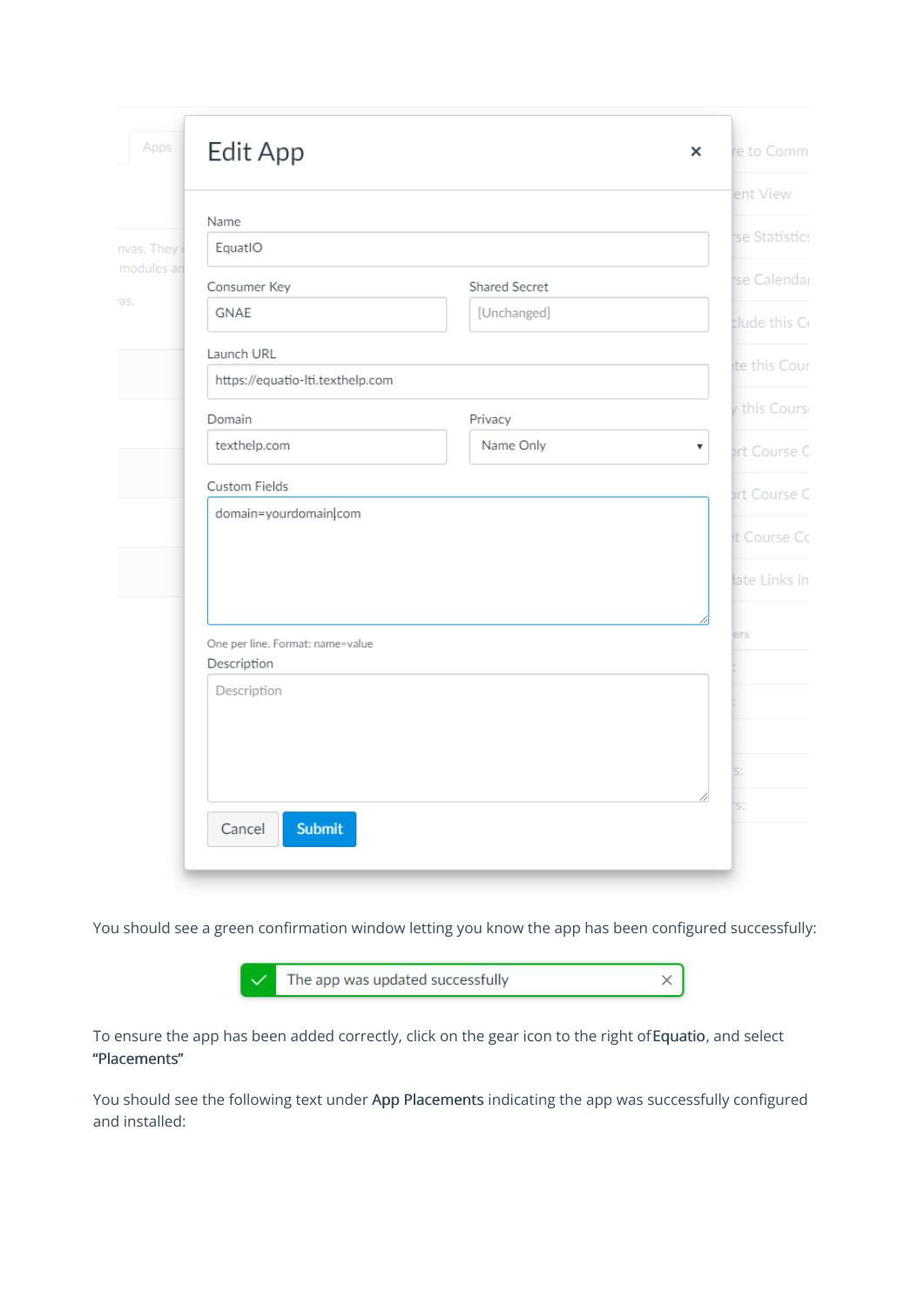| Apps                     | <b>Edit App</b>                                 | ×                               | re to Comm    |
|--------------------------|-------------------------------------------------|---------------------------------|---------------|
|                          |                                                 |                                 | ent View      |
|                          | Name                                            |                                 | se Statistics |
| nvas. They<br>modules an | EquatIO                                         |                                 |               |
|                          | Consumer Key                                    | Shared Secret                   | rse Calendar  |
| as.                      | <b>GNAE</b>                                     | [Unchanged]                     | clude this Co |
|                          | Launch URL                                      |                                 | te this Cour  |
|                          | https://equatio-lti.texthelp.com                |                                 |               |
|                          | Domain                                          | Privacy                         | v this Cours  |
|                          | texthelp.com                                    | Name Only<br>$\pmb{\mathrm{v}}$ | ort Course C  |
|                          | Custom Fields                                   |                                 | ort Course C  |
|                          | domain=yourdomain com                           |                                 |               |
|                          |                                                 |                                 | et Course Co  |
|                          |                                                 |                                 | late Links in |
|                          |                                                 |                                 | ers           |
|                          | One per line. Format: name=value<br>Description |                                 |               |
|                          | Description                                     |                                 |               |
|                          |                                                 |                                 |               |
|                          |                                                 |                                 |               |
|                          |                                                 |                                 | S:            |
|                          |                                                 |                                 | 'S:           |
|                          | Submit<br>Cancel                                |                                 |               |

You should see a green confirmation window letting you know the app has been configured successfully:



To ensure the app has been added correctly, click on the gear icon to the right ofEquatio, and select "Placements"

You should see the following text under App Placements indicating the app was successfully configured and installed: